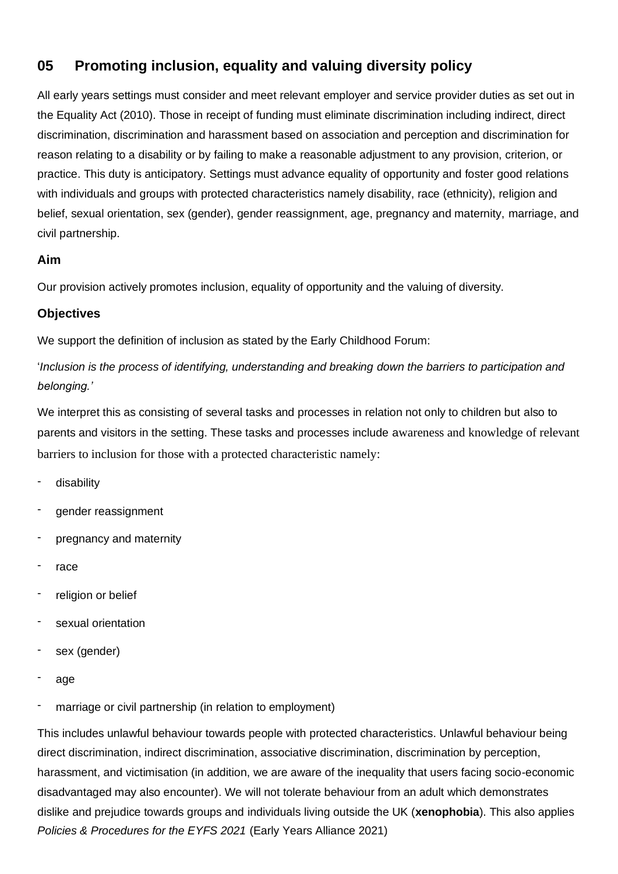## **05 Promoting inclusion, equality and valuing diversity policy**

All early years settings must consider and meet relevant employer and service provider duties as set out in the Equality Act (2010). Those in receipt of funding must eliminate discrimination including indirect, direct discrimination, discrimination and harassment based on association and perception and discrimination for reason relating to a disability or by failing to make a reasonable adjustment to any provision, criterion, or practice. This duty is anticipatory. Settings must advance equality of opportunity and foster good relations with individuals and groups with protected characteristics namely disability, race (ethnicity), religion and belief, sexual orientation, sex (gender), gender reassignment, age, pregnancy and maternity, marriage, and civil partnership.

## **Aim**

Our provision actively promotes inclusion, equality of opportunity and the valuing of diversity.

## **Objectives**

We support the definition of inclusion as stated by the Early Childhood Forum:

'*Inclusion is the process of identifying, understanding and breaking down the barriers to participation and belonging.'*

We interpret this as consisting of several tasks and processes in relation not only to children but also to parents and visitors in the setting. These tasks and processes include awareness and knowledge of relevant barriers to inclusion for those with a protected characteristic namely:

- disability
- gender reassignment
- pregnancy and maternity
- race
- religion or belief
- sexual orientation
- sex (gender)
- age
- marriage or civil partnership (in relation to employment)

*Policies & Procedures for the EYFS 2021* (Early Years Alliance 2021) This includes unlawful behaviour towards people with protected characteristics. Unlawful behaviour being direct discrimination, indirect discrimination, associative discrimination, discrimination by perception, harassment, and victimisation (in addition, we are aware of the inequality that users facing socio-economic disadvantaged may also encounter). We will not tolerate behaviour from an adult which demonstrates dislike and prejudice towards groups and individuals living outside the UK (**xenophobia**). This also applies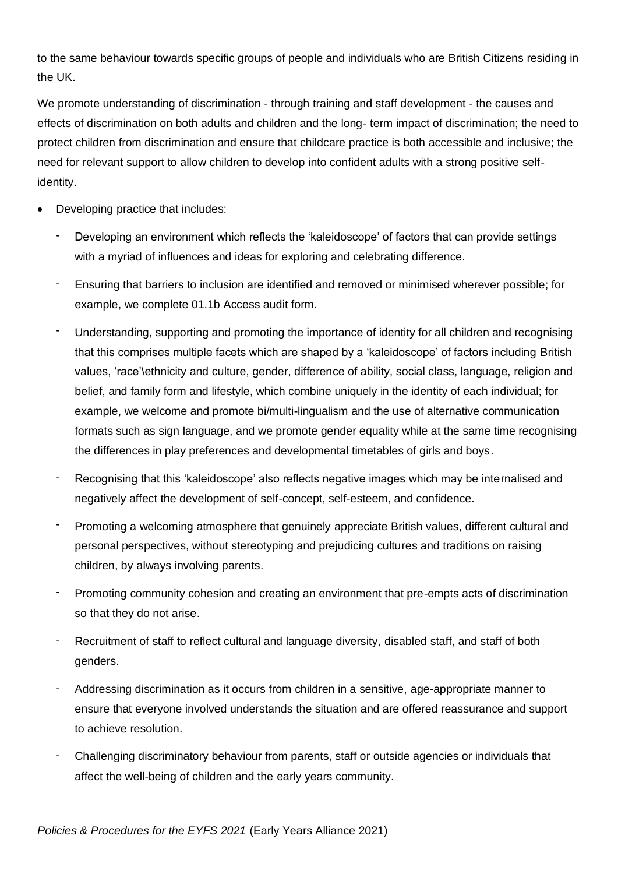to the same behaviour towards specific groups of people and individuals who are British Citizens residing in the UK.

We promote understanding of discrimination - through training and staff development - the causes and effects of discrimination on both adults and children and the long- term impact of discrimination; the need to protect children from discrimination and ensure that childcare practice is both accessible and inclusive; the need for relevant support to allow children to develop into confident adults with a strong positive selfidentity.

- Developing practice that includes:
	- Developing an environment which reflects the 'kaleidoscope' of factors that can provide settings with a myriad of influences and ideas for exploring and celebrating difference.
	- Ensuring that barriers to inclusion are identified and removed or minimised wherever possible; for example, we complete 01.1b Access audit form.
	- Understanding, supporting and promoting the importance of identity for all children and recognising that this comprises multiple facets which are shaped by a 'kaleidoscope' of factors including British values, 'race'\ethnicity and culture, gender, difference of ability, social class, language, religion and belief, and family form and lifestyle, which combine uniquely in the identity of each individual; for example, we welcome and promote bi/multi-lingualism and the use of alternative communication formats such as sign language, and we promote gender equality while at the same time recognising the differences in play preferences and developmental timetables of girls and boys.
	- Recognising that this 'kaleidoscope' also reflects negative images which may be internalised and negatively affect the development of self-concept, self-esteem, and confidence.
	- Promoting a welcoming atmosphere that genuinely appreciate British values, different cultural and personal perspectives, without stereotyping and prejudicing cultures and traditions on raising children, by always involving parents.
	- Promoting community cohesion and creating an environment that pre-empts acts of discrimination so that they do not arise.
	- Recruitment of staff to reflect cultural and language diversity, disabled staff, and staff of both genders.
	- Addressing discrimination as it occurs from children in a sensitive, age-appropriate manner to ensure that everyone involved understands the situation and are offered reassurance and support to achieve resolution.
	- Challenging discriminatory behaviour from parents, staff or outside agencies or individuals that affect the well-being of children and the early years community.